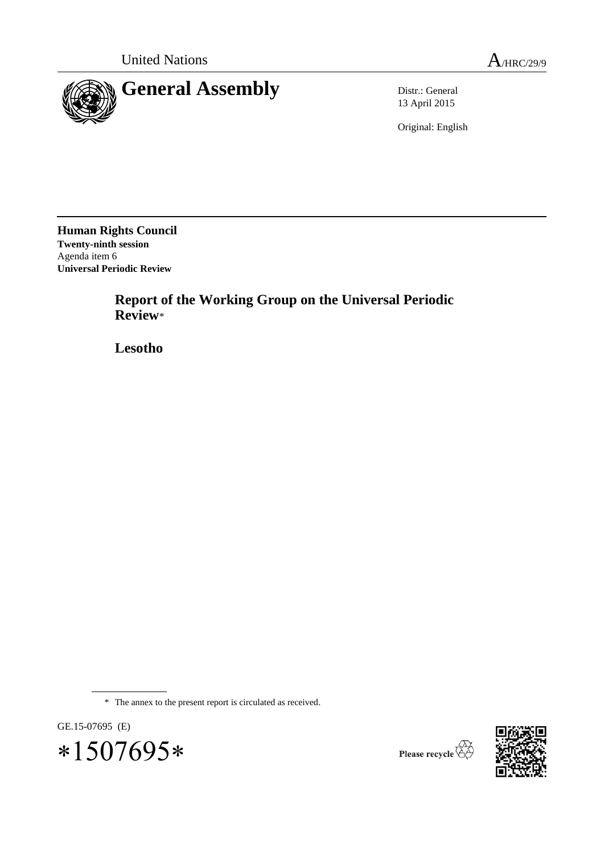

13 April 2015

Original: English

**Human Rights Council Twenty-ninth session** Agenda item 6 **Universal Periodic Review**

> **Report of the Working Group on the Universal Periodic Review**\*

**Lesotho**

\* The annex to the present report is circulated as received.







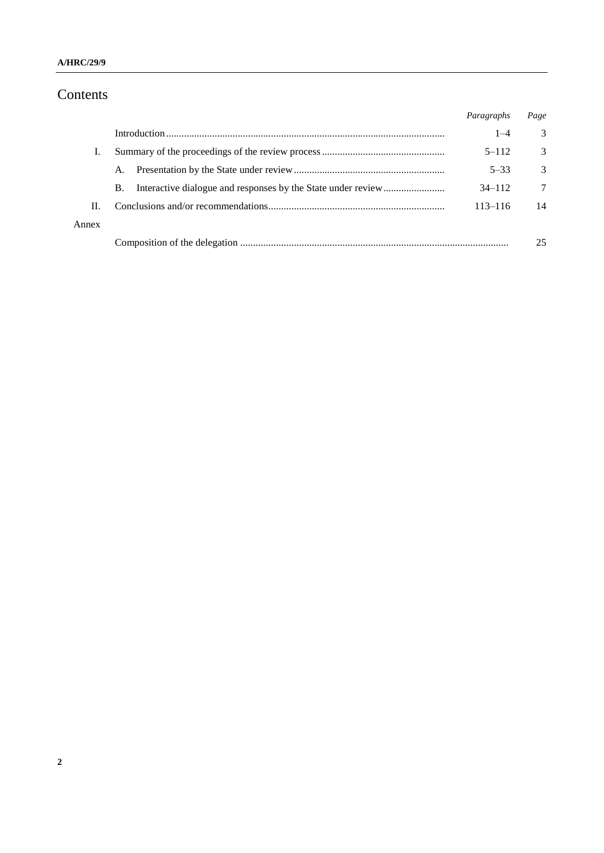# Contents

|       |           | Paragraphs  | Page |
|-------|-----------|-------------|------|
|       |           | $1 - 4$     | 3    |
|       |           | $5 - 112$   | 3    |
|       | A.        | $5 - 33$    | 3    |
|       | <b>B.</b> | $34 - 112$  | 7    |
| Н.    |           | $113 - 116$ | 14   |
| Annex |           |             |      |
|       |           |             | 25   |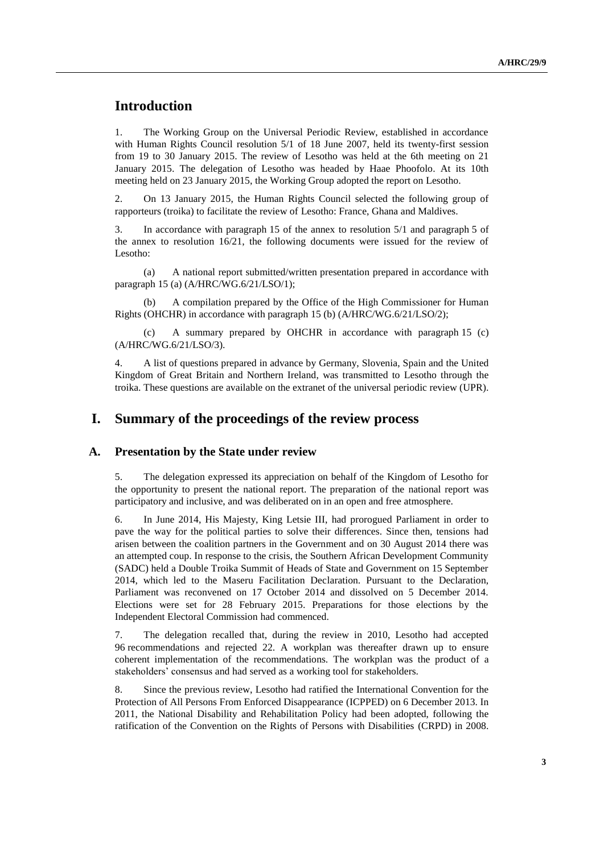# **Introduction**

1. The Working Group on the Universal Periodic Review, established in accordance with Human Rights Council resolution 5/1 of 18 June 2007, held its twenty-first session from 19 to 30 January 2015. The review of Lesotho was held at the 6th meeting on 21 January 2015. The delegation of Lesotho was headed by Haae Phoofolo. At its 10th meeting held on 23 January 2015, the Working Group adopted the report on Lesotho.

2. On 13 January 2015, the Human Rights Council selected the following group of rapporteurs (troika) to facilitate the review of Lesotho: France, Ghana and Maldives.

3. In accordance with paragraph 15 of the annex to resolution 5/1 and paragraph 5 of the annex to resolution 16/21, the following documents were issued for the review of Lesotho:

(a) A national report submitted/written presentation prepared in accordance with paragraph 15 (a) (A/HRC/WG.6/21/LSO/1);

(b) A compilation prepared by the Office of the High Commissioner for Human Rights (OHCHR) in accordance with paragraph 15 (b) (A/HRC/WG.6/21/LSO/2);

(c) A summary prepared by OHCHR in accordance with paragraph 15 (c) (A/HRC/WG.6/21/LSO/3).

4. A list of questions prepared in advance by Germany, Slovenia, Spain and the United Kingdom of Great Britain and Northern Ireland, was transmitted to Lesotho through the troika. These questions are available on the extranet of the universal periodic review (UPR).

# **I. Summary of the proceedings of the review process**

#### **A. Presentation by the State under review**

5. The delegation expressed its appreciation on behalf of the Kingdom of Lesotho for the opportunity to present the national report. The preparation of the national report was participatory and inclusive, and was deliberated on in an open and free atmosphere.

6. In June 2014, His Majesty, King Letsie III, had prorogued Parliament in order to pave the way for the political parties to solve their differences. Since then, tensions had arisen between the coalition partners in the Government and on 30 August 2014 there was an attempted coup. In response to the crisis, the Southern African Development Community (SADC) held a Double Troika Summit of Heads of State and Government on 15 September 2014, which led to the Maseru Facilitation Declaration. Pursuant to the Declaration, Parliament was reconvened on 17 October 2014 and dissolved on 5 December 2014. Elections were set for 28 February 2015. Preparations for those elections by the Independent Electoral Commission had commenced.

7. The delegation recalled that, during the review in 2010, Lesotho had accepted 96 recommendations and rejected 22. A workplan was thereafter drawn up to ensure coherent implementation of the recommendations. The workplan was the product of a stakeholders' consensus and had served as a working tool for stakeholders.

8. Since the previous review, Lesotho had ratified the International Convention for the Protection of All Persons From Enforced Disappearance (ICPPED) on 6 December 2013. In 2011, the National Disability and Rehabilitation Policy had been adopted, following the ratification of the Convention on the Rights of Persons with Disabilities (CRPD) in 2008.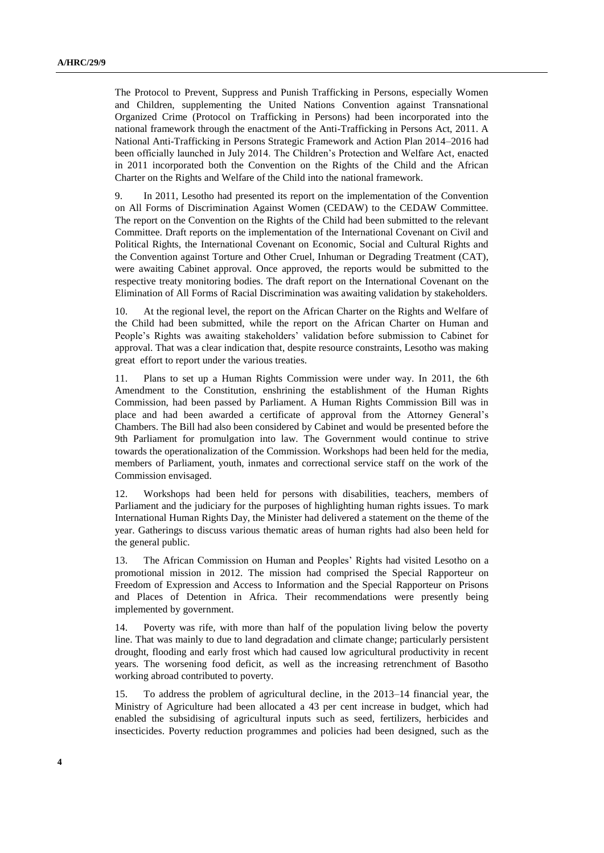The Protocol to Prevent, Suppress and Punish Trafficking in Persons, especially Women and Children, supplementing the United Nations Convention against Transnational Organized Crime (Protocol on Trafficking in Persons) had been incorporated into the national framework through the enactment of the Anti-Trafficking in Persons Act, 2011. A National Anti-Trafficking in Persons Strategic Framework and Action Plan 2014–2016 had been officially launched in July 2014. The Children's Protection and Welfare Act, enacted in 2011 incorporated both the Convention on the Rights of the Child and the African Charter on the Rights and Welfare of the Child into the national framework.

9. In 2011, Lesotho had presented its report on the implementation of the Convention on All Forms of Discrimination Against Women (CEDAW) to the CEDAW Committee. The report on the Convention on the Rights of the Child had been submitted to the relevant Committee. Draft reports on the implementation of the International Covenant on Civil and Political Rights, the International Covenant on Economic, Social and Cultural Rights and the Convention against Torture and Other Cruel, Inhuman or Degrading Treatment (CAT), were awaiting Cabinet approval. Once approved, the reports would be submitted to the respective treaty monitoring bodies. The draft report on the International Covenant on the Elimination of All Forms of Racial Discrimination was awaiting validation by stakeholders.

10. At the regional level, the report on the African Charter on the Rights and Welfare of the Child had been submitted, while the report on the African Charter on Human and People's Rights was awaiting stakeholders' validation before submission to Cabinet for approval. That was a clear indication that, despite resource constraints, Lesotho was making great effort to report under the various treaties.

11. Plans to set up a Human Rights Commission were under way. In 2011, the 6th Amendment to the Constitution, enshrining the establishment of the Human Rights Commission, had been passed by Parliament. A Human Rights Commission Bill was in place and had been awarded a certificate of approval from the Attorney General's Chambers. The Bill had also been considered by Cabinet and would be presented before the 9th Parliament for promulgation into law. The Government would continue to strive towards the operationalization of the Commission. Workshops had been held for the media, members of Parliament, youth, inmates and correctional service staff on the work of the Commission envisaged.

12. Workshops had been held for persons with disabilities, teachers, members of Parliament and the judiciary for the purposes of highlighting human rights issues. To mark International Human Rights Day, the Minister had delivered a statement on the theme of the year. Gatherings to discuss various thematic areas of human rights had also been held for the general public.

13. The African Commission on Human and Peoples' Rights had visited Lesotho on a promotional mission in 2012. The mission had comprised the Special Rapporteur on Freedom of Expression and Access to Information and the Special Rapporteur on Prisons and Places of Detention in Africa. Their recommendations were presently being implemented by government.

14. Poverty was rife, with more than half of the population living below the poverty line. That was mainly to due to land degradation and climate change; particularly persistent drought, flooding and early frost which had caused low agricultural productivity in recent years. The worsening food deficit, as well as the increasing retrenchment of Basotho working abroad contributed to poverty.

15. To address the problem of agricultural decline, in the 2013–14 financial year, the Ministry of Agriculture had been allocated a 43 per cent increase in budget, which had enabled the subsidising of agricultural inputs such as seed, fertilizers, herbicides and insecticides. Poverty reduction programmes and policies had been designed, such as the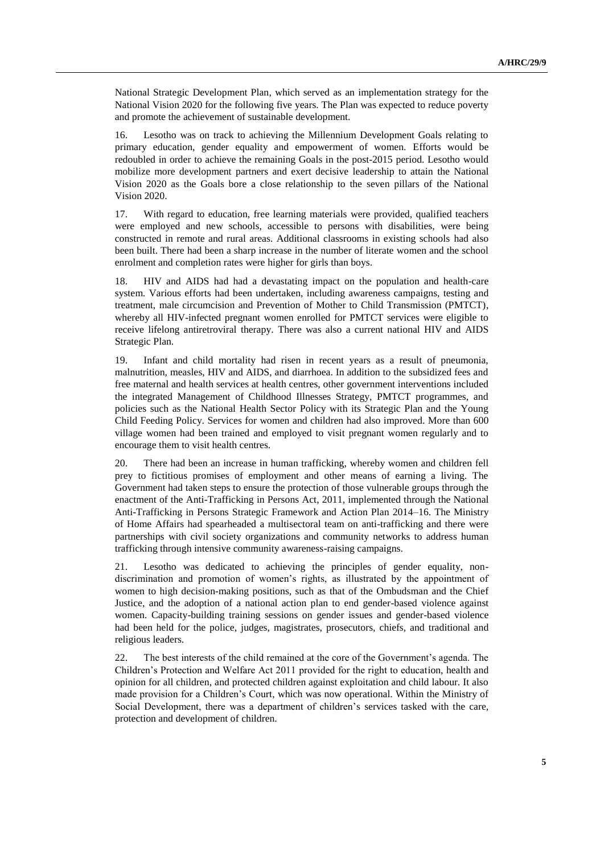National Strategic Development Plan, which served as an implementation strategy for the National Vision 2020 for the following five years. The Plan was expected to reduce poverty and promote the achievement of sustainable development.

16. Lesotho was on track to achieving the Millennium Development Goals relating to primary education, gender equality and empowerment of women. Efforts would be redoubled in order to achieve the remaining Goals in the post-2015 period. Lesotho would mobilize more development partners and exert decisive leadership to attain the National Vision 2020 as the Goals bore a close relationship to the seven pillars of the National Vision 2020.

17. With regard to education, free learning materials were provided, qualified teachers were employed and new schools, accessible to persons with disabilities, were being constructed in remote and rural areas. Additional classrooms in existing schools had also been built. There had been a sharp increase in the number of literate women and the school enrolment and completion rates were higher for girls than boys.

18. HIV and AIDS had had a devastating impact on the population and health-care system. Various efforts had been undertaken, including awareness campaigns, testing and treatment, male circumcision and Prevention of Mother to Child Transmission (PMTCT), whereby all HIV-infected pregnant women enrolled for PMTCT services were eligible to receive lifelong antiretroviral therapy. There was also a current national HIV and AIDS Strategic Plan.

19. Infant and child mortality had risen in recent years as a result of pneumonia, malnutrition, measles, HIV and AIDS, and diarrhoea. In addition to the subsidized fees and free maternal and health services at health centres, other government interventions included the integrated Management of Childhood Illnesses Strategy, PMTCT programmes, and policies such as the National Health Sector Policy with its Strategic Plan and the Young Child Feeding Policy. Services for women and children had also improved. More than 600 village women had been trained and employed to visit pregnant women regularly and to encourage them to visit health centres.

20. There had been an increase in human trafficking, whereby women and children fell prey to fictitious promises of employment and other means of earning a living. The Government had taken steps to ensure the protection of those vulnerable groups through the enactment of the Anti-Trafficking in Persons Act, 2011, implemented through the National Anti-Trafficking in Persons Strategic Framework and Action Plan 2014–16. The Ministry of Home Affairs had spearheaded a multisectoral team on anti-trafficking and there were partnerships with civil society organizations and community networks to address human trafficking through intensive community awareness-raising campaigns.

21. Lesotho was dedicated to achieving the principles of gender equality, nondiscrimination and promotion of women's rights, as illustrated by the appointment of women to high decision-making positions, such as that of the Ombudsman and the Chief Justice, and the adoption of a national action plan to end gender-based violence against women. Capacity-building training sessions on gender issues and gender-based violence had been held for the police, judges, magistrates, prosecutors, chiefs, and traditional and religious leaders.

22. The best interests of the child remained at the core of the Government's agenda. The Children's Protection and Welfare Act 2011 provided for the right to education, health and opinion for all children, and protected children against exploitation and child labour. It also made provision for a Children's Court, which was now operational. Within the Ministry of Social Development, there was a department of children's services tasked with the care, protection and development of children.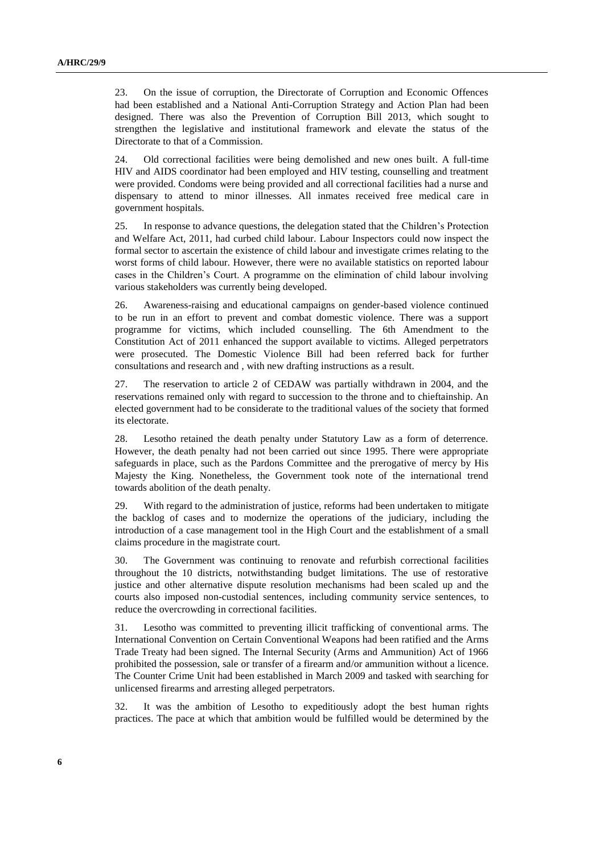23. On the issue of corruption, the Directorate of Corruption and Economic Offences had been established and a National Anti-Corruption Strategy and Action Plan had been designed. There was also the Prevention of Corruption Bill 2013, which sought to strengthen the legislative and institutional framework and elevate the status of the Directorate to that of a Commission.

24. Old correctional facilities were being demolished and new ones built. A full-time HIV and AIDS coordinator had been employed and HIV testing, counselling and treatment were provided. Condoms were being provided and all correctional facilities had a nurse and dispensary to attend to minor illnesses. All inmates received free medical care in government hospitals.

25. In response to advance questions, the delegation stated that the Children's Protection and Welfare Act, 2011, had curbed child labour. Labour Inspectors could now inspect the formal sector to ascertain the existence of child labour and investigate crimes relating to the worst forms of child labour. However, there were no available statistics on reported labour cases in the Children's Court. A programme on the elimination of child labour involving various stakeholders was currently being developed.

26. Awareness-raising and educational campaigns on gender-based violence continued to be run in an effort to prevent and combat domestic violence. There was a support programme for victims, which included counselling. The 6th Amendment to the Constitution Act of 2011 enhanced the support available to victims. Alleged perpetrators were prosecuted. The Domestic Violence Bill had been referred back for further consultations and research and , with new drafting instructions as a result.

27. The reservation to article 2 of CEDAW was partially withdrawn in 2004, and the reservations remained only with regard to succession to the throne and to chieftainship. An elected government had to be considerate to the traditional values of the society that formed its electorate.

28. Lesotho retained the death penalty under Statutory Law as a form of deterrence. However, the death penalty had not been carried out since 1995. There were appropriate safeguards in place, such as the Pardons Committee and the prerogative of mercy by His Majesty the King. Nonetheless, the Government took note of the international trend towards abolition of the death penalty.

29. With regard to the administration of justice, reforms had been undertaken to mitigate the backlog of cases and to modernize the operations of the judiciary, including the introduction of a case management tool in the High Court and the establishment of a small claims procedure in the magistrate court.

30. The Government was continuing to renovate and refurbish correctional facilities throughout the 10 districts, notwithstanding budget limitations. The use of restorative justice and other alternative dispute resolution mechanisms had been scaled up and the courts also imposed non-custodial sentences, including community service sentences, to reduce the overcrowding in correctional facilities.

31. Lesotho was committed to preventing illicit trafficking of conventional arms. The International Convention on Certain Conventional Weapons had been ratified and the Arms Trade Treaty had been signed. The Internal Security (Arms and Ammunition) Act of 1966 prohibited the possession, sale or transfer of a firearm and/or ammunition without a licence. The Counter Crime Unit had been established in March 2009 and tasked with searching for unlicensed firearms and arresting alleged perpetrators.

32. It was the ambition of Lesotho to expeditiously adopt the best human rights practices. The pace at which that ambition would be fulfilled would be determined by the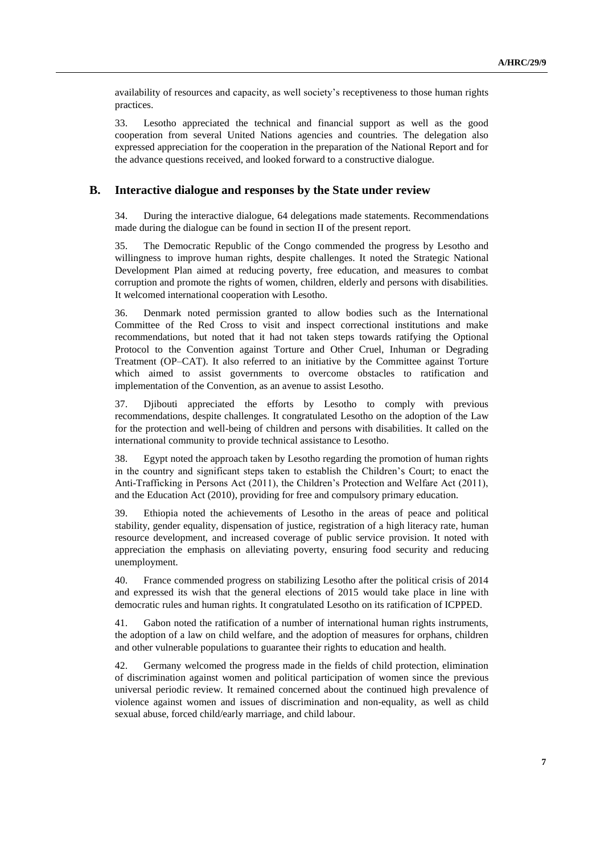availability of resources and capacity, as well society's receptiveness to those human rights practices.

33. Lesotho appreciated the technical and financial support as well as the good cooperation from several United Nations agencies and countries. The delegation also expressed appreciation for the cooperation in the preparation of the National Report and for the advance questions received, and looked forward to a constructive dialogue.

#### **B. Interactive dialogue and responses by the State under review**

34. During the interactive dialogue, 64 delegations made statements. Recommendations made during the dialogue can be found in section II of the present report.

35. The Democratic Republic of the Congo commended the progress by Lesotho and willingness to improve human rights, despite challenges. It noted the Strategic National Development Plan aimed at reducing poverty, free education, and measures to combat corruption and promote the rights of women, children, elderly and persons with disabilities. It welcomed international cooperation with Lesotho.

36. Denmark noted permission granted to allow bodies such as the International Committee of the Red Cross to visit and inspect correctional institutions and make recommendations, but noted that it had not taken steps towards ratifying the Optional Protocol to the Convention against Torture and Other Cruel, Inhuman or Degrading Treatment (OP–CAT). It also referred to an initiative by the Committee against Torture which aimed to assist governments to overcome obstacles to ratification and implementation of the Convention, as an avenue to assist Lesotho.

37. Djibouti appreciated the efforts by Lesotho to comply with previous recommendations, despite challenges. It congratulated Lesotho on the adoption of the Law for the protection and well-being of children and persons with disabilities. It called on the international community to provide technical assistance to Lesotho.

38. Egypt noted the approach taken by Lesotho regarding the promotion of human rights in the country and significant steps taken to establish the Children's Court; to enact the Anti-Trafficking in Persons Act (2011), the Children's Protection and Welfare Act (2011), and the Education Act (2010), providing for free and compulsory primary education.

39. Ethiopia noted the achievements of Lesotho in the areas of peace and political stability, gender equality, dispensation of justice, registration of a high literacy rate, human resource development, and increased coverage of public service provision. It noted with appreciation the emphasis on alleviating poverty, ensuring food security and reducing unemployment.

40. France commended progress on stabilizing Lesotho after the political crisis of 2014 and expressed its wish that the general elections of 2015 would take place in line with democratic rules and human rights. It congratulated Lesotho on its ratification of ICPPED.

41. Gabon noted the ratification of a number of international human rights instruments, the adoption of a law on child welfare, and the adoption of measures for orphans, children and other vulnerable populations to guarantee their rights to education and health.

42. Germany welcomed the progress made in the fields of child protection, elimination of discrimination against women and political participation of women since the previous universal periodic review. It remained concerned about the continued high prevalence of violence against women and issues of discrimination and non-equality, as well as child sexual abuse, forced child/early marriage, and child labour.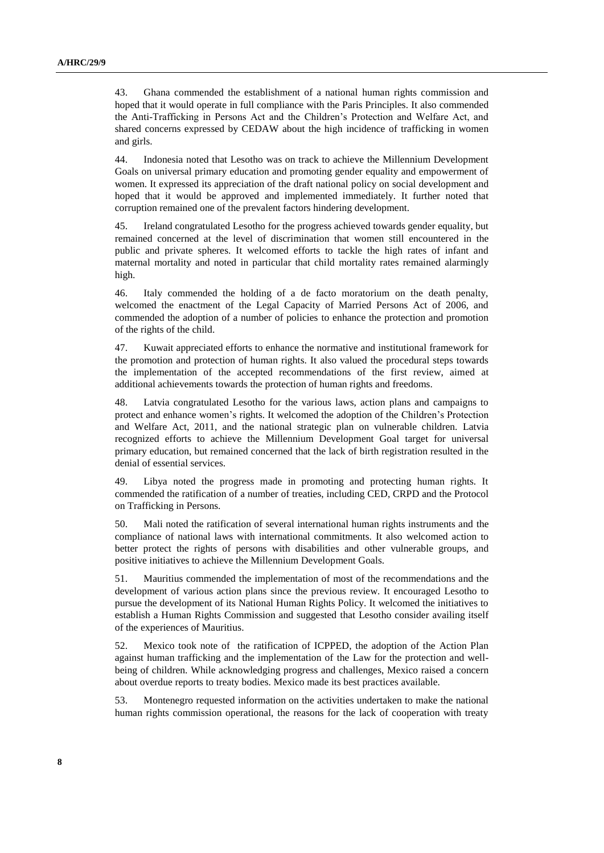43. Ghana commended the establishment of a national human rights commission and hoped that it would operate in full compliance with the Paris Principles. It also commended the Anti-Trafficking in Persons Act and the Children's Protection and Welfare Act, and shared concerns expressed by CEDAW about the high incidence of trafficking in women and girls.

44. Indonesia noted that Lesotho was on track to achieve the Millennium Development Goals on universal primary education and promoting gender equality and empowerment of women. It expressed its appreciation of the draft national policy on social development and hoped that it would be approved and implemented immediately. It further noted that corruption remained one of the prevalent factors hindering development.

45. Ireland congratulated Lesotho for the progress achieved towards gender equality, but remained concerned at the level of discrimination that women still encountered in the public and private spheres. It welcomed efforts to tackle the high rates of infant and maternal mortality and noted in particular that child mortality rates remained alarmingly high.

46. Italy commended the holding of a de facto moratorium on the death penalty, welcomed the enactment of the Legal Capacity of Married Persons Act of 2006, and commended the adoption of a number of policies to enhance the protection and promotion of the rights of the child.

47. Kuwait appreciated efforts to enhance the normative and institutional framework for the promotion and protection of human rights. It also valued the procedural steps towards the implementation of the accepted recommendations of the first review, aimed at additional achievements towards the protection of human rights and freedoms.

48. Latvia congratulated Lesotho for the various laws, action plans and campaigns to protect and enhance women's rights. It welcomed the adoption of the Children's Protection and Welfare Act, 2011, and the national strategic plan on vulnerable children. Latvia recognized efforts to achieve the Millennium Development Goal target for universal primary education, but remained concerned that the lack of birth registration resulted in the denial of essential services.

49. Libya noted the progress made in promoting and protecting human rights. It commended the ratification of a number of treaties, including CED, CRPD and the Protocol on Trafficking in Persons.

50. Mali noted the ratification of several international human rights instruments and the compliance of national laws with international commitments. It also welcomed action to better protect the rights of persons with disabilities and other vulnerable groups, and positive initiatives to achieve the Millennium Development Goals.

51. Mauritius commended the implementation of most of the recommendations and the development of various action plans since the previous review. It encouraged Lesotho to pursue the development of its National Human Rights Policy. It welcomed the initiatives to establish a Human Rights Commission and suggested that Lesotho consider availing itself of the experiences of Mauritius.

52. Mexico took note of the ratification of ICPPED, the adoption of the Action Plan against human trafficking and the implementation of the Law for the protection and wellbeing of children. While acknowledging progress and challenges, Mexico raised a concern about overdue reports to treaty bodies. Mexico made its best practices available.

53. Montenegro requested information on the activities undertaken to make the national human rights commission operational, the reasons for the lack of cooperation with treaty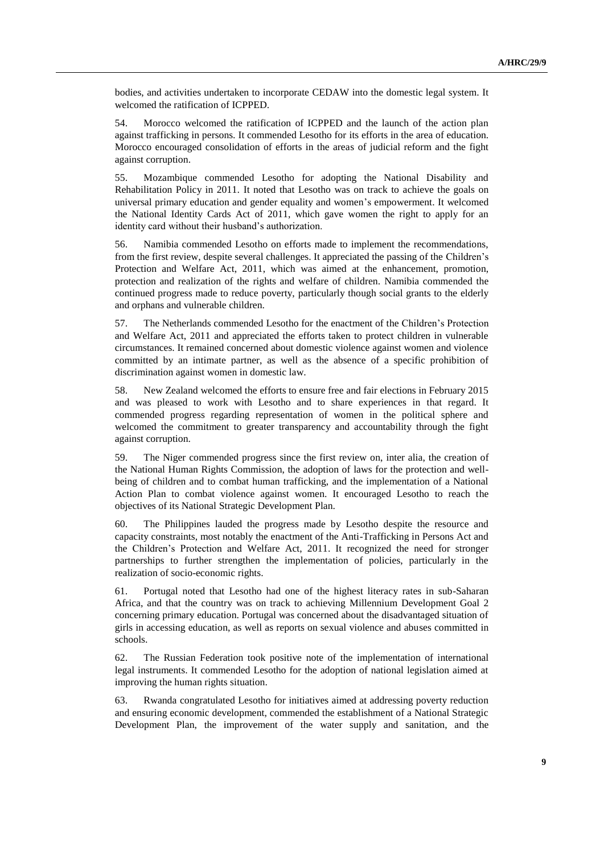bodies, and activities undertaken to incorporate CEDAW into the domestic legal system. It welcomed the ratification of ICPPED.

54. Morocco welcomed the ratification of ICPPED and the launch of the action plan against trafficking in persons. It commended Lesotho for its efforts in the area of education. Morocco encouraged consolidation of efforts in the areas of judicial reform and the fight against corruption.

55. Mozambique commended Lesotho for adopting the National Disability and Rehabilitation Policy in 2011. It noted that Lesotho was on track to achieve the goals on universal primary education and gender equality and women's empowerment. It welcomed the National Identity Cards Act of 2011, which gave women the right to apply for an identity card without their husband's authorization.

56. Namibia commended Lesotho on efforts made to implement the recommendations, from the first review, despite several challenges. It appreciated the passing of the Children's Protection and Welfare Act, 2011, which was aimed at the enhancement, promotion, protection and realization of the rights and welfare of children. Namibia commended the continued progress made to reduce poverty, particularly though social grants to the elderly and orphans and vulnerable children.

57. The Netherlands commended Lesotho for the enactment of the Children's Protection and Welfare Act, 2011 and appreciated the efforts taken to protect children in vulnerable circumstances. It remained concerned about domestic violence against women and violence committed by an intimate partner, as well as the absence of a specific prohibition of discrimination against women in domestic law.

58. New Zealand welcomed the efforts to ensure free and fair elections in February 2015 and was pleased to work with Lesotho and to share experiences in that regard. It commended progress regarding representation of women in the political sphere and welcomed the commitment to greater transparency and accountability through the fight against corruption.

59. The Niger commended progress since the first review on, inter alia, the creation of the National Human Rights Commission, the adoption of laws for the protection and wellbeing of children and to combat human trafficking, and the implementation of a National Action Plan to combat violence against women. It encouraged Lesotho to reach the objectives of its National Strategic Development Plan.

60. The Philippines lauded the progress made by Lesotho despite the resource and capacity constraints, most notably the enactment of the Anti-Trafficking in Persons Act and the Children's Protection and Welfare Act, 2011. It recognized the need for stronger partnerships to further strengthen the implementation of policies, particularly in the realization of socio-economic rights.

61. Portugal noted that Lesotho had one of the highest literacy rates in sub-Saharan Africa, and that the country was on track to achieving Millennium Development Goal 2 concerning primary education. Portugal was concerned about the disadvantaged situation of girls in accessing education, as well as reports on sexual violence and abuses committed in schools.

62. The Russian Federation took positive note of the implementation of international legal instruments. It commended Lesotho for the adoption of national legislation aimed at improving the human rights situation.

63. Rwanda congratulated Lesotho for initiatives aimed at addressing poverty reduction and ensuring economic development, commended the establishment of a National Strategic Development Plan, the improvement of the water supply and sanitation, and the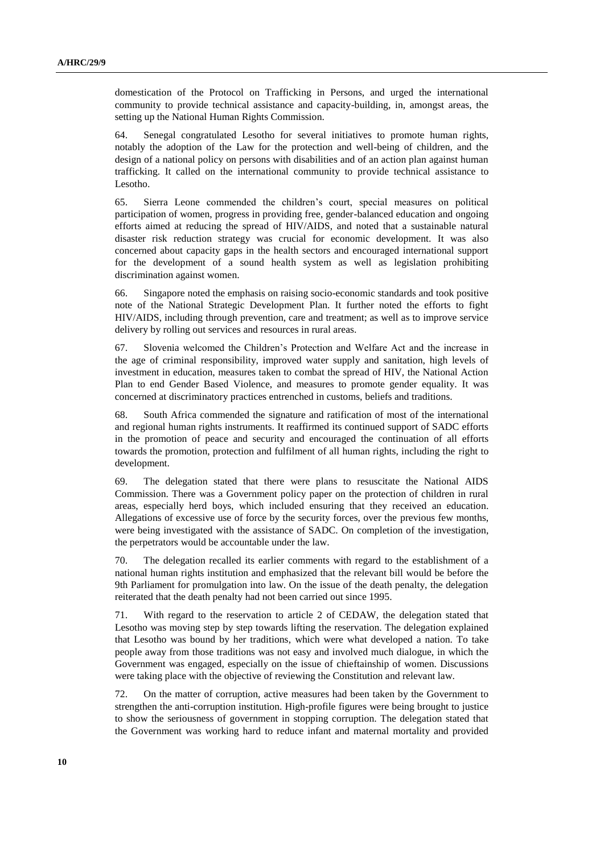domestication of the Protocol on Trafficking in Persons, and urged the international community to provide technical assistance and capacity-building, in, amongst areas, the setting up the National Human Rights Commission.

64. Senegal congratulated Lesotho for several initiatives to promote human rights, notably the adoption of the Law for the protection and well-being of children, and the design of a national policy on persons with disabilities and of an action plan against human trafficking. It called on the international community to provide technical assistance to Lesotho.

65. Sierra Leone commended the children's court, special measures on political participation of women, progress in providing free, gender-balanced education and ongoing efforts aimed at reducing the spread of HIV/AIDS, and noted that a sustainable natural disaster risk reduction strategy was crucial for economic development. It was also concerned about capacity gaps in the health sectors and encouraged international support for the development of a sound health system as well as legislation prohibiting discrimination against women.

66. Singapore noted the emphasis on raising socio-economic standards and took positive note of the National Strategic Development Plan. It further noted the efforts to fight HIV/AIDS, including through prevention, care and treatment; as well as to improve service delivery by rolling out services and resources in rural areas.

67. Slovenia welcomed the Children's Protection and Welfare Act and the increase in the age of criminal responsibility, improved water supply and sanitation, high levels of investment in education, measures taken to combat the spread of HIV, the National Action Plan to end Gender Based Violence, and measures to promote gender equality. It was concerned at discriminatory practices entrenched in customs, beliefs and traditions.

68. South Africa commended the signature and ratification of most of the international and regional human rights instruments. It reaffirmed its continued support of SADC efforts in the promotion of peace and security and encouraged the continuation of all efforts towards the promotion, protection and fulfilment of all human rights, including the right to development.

69. The delegation stated that there were plans to resuscitate the National AIDS Commission. There was a Government policy paper on the protection of children in rural areas, especially herd boys, which included ensuring that they received an education. Allegations of excessive use of force by the security forces, over the previous few months, were being investigated with the assistance of SADC. On completion of the investigation, the perpetrators would be accountable under the law.

70. The delegation recalled its earlier comments with regard to the establishment of a national human rights institution and emphasized that the relevant bill would be before the 9th Parliament for promulgation into law. On the issue of the death penalty, the delegation reiterated that the death penalty had not been carried out since 1995.

71. With regard to the reservation to article 2 of CEDAW, the delegation stated that Lesotho was moving step by step towards lifting the reservation. The delegation explained that Lesotho was bound by her traditions, which were what developed a nation. To take people away from those traditions was not easy and involved much dialogue, in which the Government was engaged, especially on the issue of chieftainship of women. Discussions were taking place with the objective of reviewing the Constitution and relevant law.

72. On the matter of corruption, active measures had been taken by the Government to strengthen the anti-corruption institution. High-profile figures were being brought to justice to show the seriousness of government in stopping corruption. The delegation stated that the Government was working hard to reduce infant and maternal mortality and provided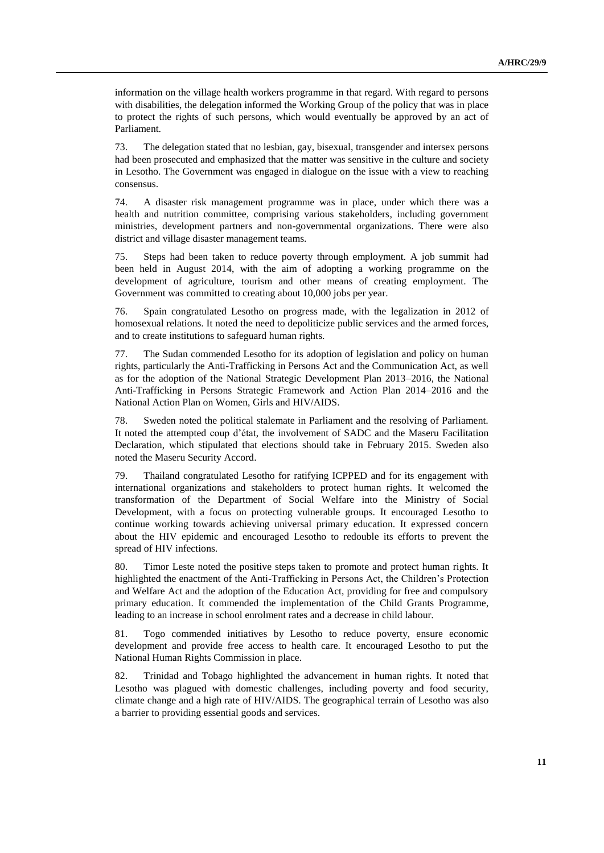information on the village health workers programme in that regard. With regard to persons with disabilities, the delegation informed the Working Group of the policy that was in place to protect the rights of such persons, which would eventually be approved by an act of Parliament.

73. The delegation stated that no lesbian, gay, bisexual, transgender and intersex persons had been prosecuted and emphasized that the matter was sensitive in the culture and society in Lesotho. The Government was engaged in dialogue on the issue with a view to reaching consensus.

74. A disaster risk management programme was in place, under which there was a health and nutrition committee, comprising various stakeholders, including government ministries, development partners and non-governmental organizations. There were also district and village disaster management teams.

75. Steps had been taken to reduce poverty through employment. A job summit had been held in August 2014, with the aim of adopting a working programme on the development of agriculture, tourism and other means of creating employment. The Government was committed to creating about 10,000 jobs per year.

76. Spain congratulated Lesotho on progress made, with the legalization in 2012 of homosexual relations. It noted the need to depoliticize public services and the armed forces, and to create institutions to safeguard human rights.

77. The Sudan commended Lesotho for its adoption of legislation and policy on human rights, particularly the Anti-Trafficking in Persons Act and the Communication Act, as well as for the adoption of the National Strategic Development Plan 2013–2016, the National Anti-Trafficking in Persons Strategic Framework and Action Plan 2014–2016 and the National Action Plan on Women, Girls and HIV/AIDS.

78. Sweden noted the political stalemate in Parliament and the resolving of Parliament. It noted the attempted coup d'état, the involvement of SADC and the Maseru Facilitation Declaration, which stipulated that elections should take in February 2015. Sweden also noted the Maseru Security Accord.

79. Thailand congratulated Lesotho for ratifying ICPPED and for its engagement with international organizations and stakeholders to protect human rights. It welcomed the transformation of the Department of Social Welfare into the Ministry of Social Development, with a focus on protecting vulnerable groups. It encouraged Lesotho to continue working towards achieving universal primary education. It expressed concern about the HIV epidemic and encouraged Lesotho to redouble its efforts to prevent the spread of HIV infections.

80. Timor Leste noted the positive steps taken to promote and protect human rights. It highlighted the enactment of the Anti-Trafficking in Persons Act, the Children's Protection and Welfare Act and the adoption of the Education Act, providing for free and compulsory primary education. It commended the implementation of the Child Grants Programme, leading to an increase in school enrolment rates and a decrease in child labour.

81. Togo commended initiatives by Lesotho to reduce poverty, ensure economic development and provide free access to health care. It encouraged Lesotho to put the National Human Rights Commission in place.

82. Trinidad and Tobago highlighted the advancement in human rights. It noted that Lesotho was plagued with domestic challenges, including poverty and food security, climate change and a high rate of HIV/AIDS. The geographical terrain of Lesotho was also a barrier to providing essential goods and services.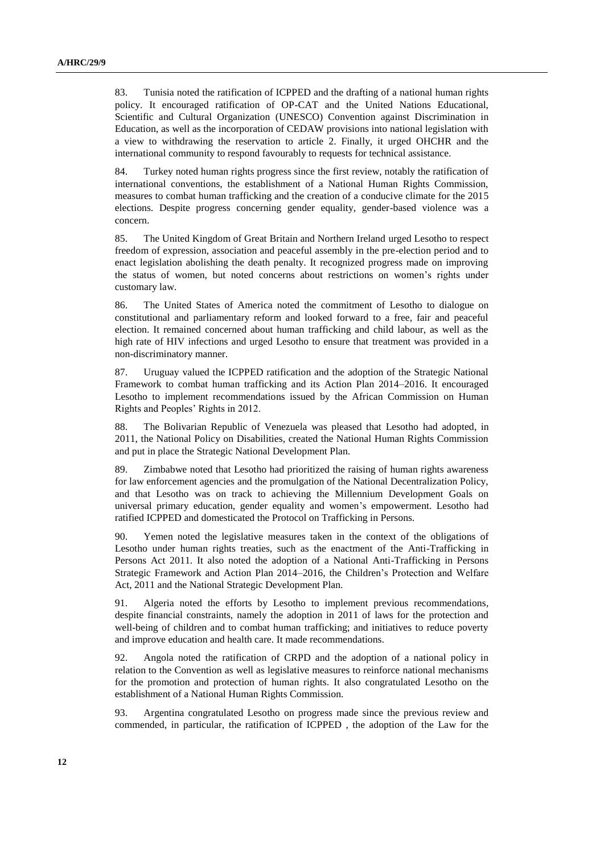83. Tunisia noted the ratification of ICPPED and the drafting of a national human rights policy. It encouraged ratification of OP-CAT and the United Nations Educational, Scientific and Cultural Organization (UNESCO) Convention against Discrimination in Education, as well as the incorporation of CEDAW provisions into national legislation with a view to withdrawing the reservation to article 2. Finally, it urged OHCHR and the international community to respond favourably to requests for technical assistance.

84. Turkey noted human rights progress since the first review, notably the ratification of international conventions, the establishment of a National Human Rights Commission, measures to combat human trafficking and the creation of a conducive climate for the 2015 elections. Despite progress concerning gender equality, gender-based violence was a concern.

85. The United Kingdom of Great Britain and Northern Ireland urged Lesotho to respect freedom of expression, association and peaceful assembly in the pre-election period and to enact legislation abolishing the death penalty. It recognized progress made on improving the status of women, but noted concerns about restrictions on women's rights under customary law.

86. The United States of America noted the commitment of Lesotho to dialogue on constitutional and parliamentary reform and looked forward to a free, fair and peaceful election. It remained concerned about human trafficking and child labour, as well as the high rate of HIV infections and urged Lesotho to ensure that treatment was provided in a non-discriminatory manner.

87. Uruguay valued the ICPPED ratification and the adoption of the Strategic National Framework to combat human trafficking and its Action Plan 2014–2016. It encouraged Lesotho to implement recommendations issued by the African Commission on Human Rights and Peoples' Rights in 2012.

88. The Bolivarian Republic of Venezuela was pleased that Lesotho had adopted, in 2011, the National Policy on Disabilities, created the National Human Rights Commission and put in place the Strategic National Development Plan.

89. Zimbabwe noted that Lesotho had prioritized the raising of human rights awareness for law enforcement agencies and the promulgation of the National Decentralization Policy, and that Lesotho was on track to achieving the Millennium Development Goals on universal primary education, gender equality and women's empowerment. Lesotho had ratified ICPPED and domesticated the Protocol on Trafficking in Persons.

90. Yemen noted the legislative measures taken in the context of the obligations of Lesotho under human rights treaties, such as the enactment of the Anti-Trafficking in Persons Act 2011. It also noted the adoption of a National Anti-Trafficking in Persons Strategic Framework and Action Plan 2014–2016, the Children's Protection and Welfare Act, 2011 and the National Strategic Development Plan.

91. Algeria noted the efforts by Lesotho to implement previous recommendations, despite financial constraints, namely the adoption in 2011 of laws for the protection and well-being of children and to combat human trafficking; and initiatives to reduce poverty and improve education and health care. It made recommendations.

92. Angola noted the ratification of CRPD and the adoption of a national policy in relation to the Convention as well as legislative measures to reinforce national mechanisms for the promotion and protection of human rights. It also congratulated Lesotho on the establishment of a National Human Rights Commission.

93. Argentina congratulated Lesotho on progress made since the previous review and commended, in particular, the ratification of ICPPED , the adoption of the Law for the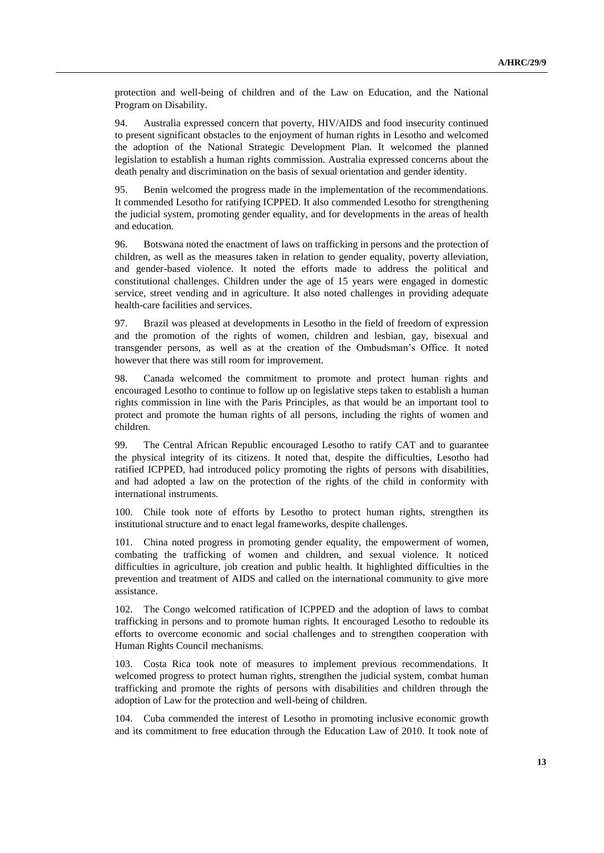protection and well-being of children and of the Law on Education, and the National Program on Disability.

94. Australia expressed concern that poverty, HIV/AIDS and food insecurity continued to present significant obstacles to the enjoyment of human rights in Lesotho and welcomed the adoption of the National Strategic Development Plan. It welcomed the planned legislation to establish a human rights commission. Australia expressed concerns about the death penalty and discrimination on the basis of sexual orientation and gender identity.

95. Benin welcomed the progress made in the implementation of the recommendations. It commended Lesotho for ratifying ICPPED. It also commended Lesotho for strengthening the judicial system, promoting gender equality, and for developments in the areas of health and education.

96. Botswana noted the enactment of laws on trafficking in persons and the protection of children, as well as the measures taken in relation to gender equality, poverty alleviation, and gender-based violence. It noted the efforts made to address the political and constitutional challenges. Children under the age of 15 years were engaged in domestic service, street vending and in agriculture. It also noted challenges in providing adequate health-care facilities and services.

97. Brazil was pleased at developments in Lesotho in the field of freedom of expression and the promotion of the rights of women, children and lesbian, gay, bisexual and transgender persons, as well as at the creation of the Ombudsman's Office. It noted however that there was still room for improvement.

98. Canada welcomed the commitment to promote and protect human rights and encouraged Lesotho to continue to follow up on legislative steps taken to establish a human rights commission in line with the Paris Principles, as that would be an important tool to protect and promote the human rights of all persons, including the rights of women and children.

99. The Central African Republic encouraged Lesotho to ratify CAT and to guarantee the physical integrity of its citizens. It noted that, despite the difficulties, Lesotho had ratified ICPPED, had introduced policy promoting the rights of persons with disabilities, and had adopted a law on the protection of the rights of the child in conformity with international instruments.

100. Chile took note of efforts by Lesotho to protect human rights, strengthen its institutional structure and to enact legal frameworks, despite challenges.

101. China noted progress in promoting gender equality, the empowerment of women, combating the trafficking of women and children, and sexual violence. It noticed difficulties in agriculture, job creation and public health. It highlighted difficulties in the prevention and treatment of AIDS and called on the international community to give more assistance.

102. The Congo welcomed ratification of ICPPED and the adoption of laws to combat trafficking in persons and to promote human rights. It encouraged Lesotho to redouble its efforts to overcome economic and social challenges and to strengthen cooperation with Human Rights Council mechanisms.

103. Costa Rica took note of measures to implement previous recommendations. It welcomed progress to protect human rights, strengthen the judicial system, combat human trafficking and promote the rights of persons with disabilities and children through the adoption of Law for the protection and well-being of children.

104. Cuba commended the interest of Lesotho in promoting inclusive economic growth and its commitment to free education through the Education Law of 2010. It took note of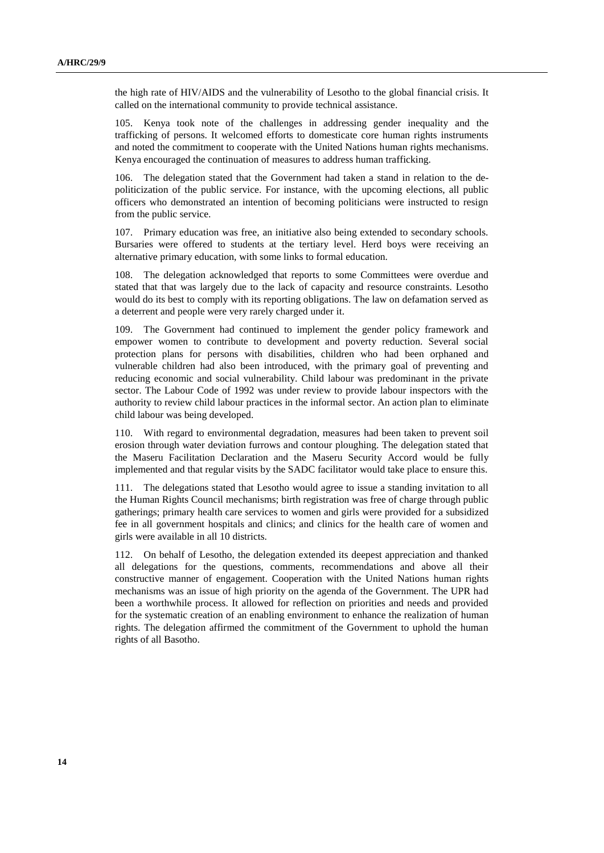the high rate of HIV/AIDS and the vulnerability of Lesotho to the global financial crisis. It called on the international community to provide technical assistance.

105. Kenya took note of the challenges in addressing gender inequality and the trafficking of persons. It welcomed efforts to domesticate core human rights instruments and noted the commitment to cooperate with the United Nations human rights mechanisms. Kenya encouraged the continuation of measures to address human trafficking.

106. The delegation stated that the Government had taken a stand in relation to the depoliticization of the public service. For instance, with the upcoming elections, all public officers who demonstrated an intention of becoming politicians were instructed to resign from the public service.

107. Primary education was free, an initiative also being extended to secondary schools. Bursaries were offered to students at the tertiary level. Herd boys were receiving an alternative primary education, with some links to formal education.

108. The delegation acknowledged that reports to some Committees were overdue and stated that that was largely due to the lack of capacity and resource constraints. Lesotho would do its best to comply with its reporting obligations. The law on defamation served as a deterrent and people were very rarely charged under it.

109. The Government had continued to implement the gender policy framework and empower women to contribute to development and poverty reduction. Several social protection plans for persons with disabilities, children who had been orphaned and vulnerable children had also been introduced, with the primary goal of preventing and reducing economic and social vulnerability. Child labour was predominant in the private sector. The Labour Code of 1992 was under review to provide labour inspectors with the authority to review child labour practices in the informal sector. An action plan to eliminate child labour was being developed.

110. With regard to environmental degradation, measures had been taken to prevent soil erosion through water deviation furrows and contour ploughing. The delegation stated that the Maseru Facilitation Declaration and the Maseru Security Accord would be fully implemented and that regular visits by the SADC facilitator would take place to ensure this.

111. The delegations stated that Lesotho would agree to issue a standing invitation to all the Human Rights Council mechanisms; birth registration was free of charge through public gatherings; primary health care services to women and girls were provided for a subsidized fee in all government hospitals and clinics; and clinics for the health care of women and girls were available in all 10 districts.

112. On behalf of Lesotho, the delegation extended its deepest appreciation and thanked all delegations for the questions, comments, recommendations and above all their constructive manner of engagement. Cooperation with the United Nations human rights mechanisms was an issue of high priority on the agenda of the Government. The UPR had been a worthwhile process. It allowed for reflection on priorities and needs and provided for the systematic creation of an enabling environment to enhance the realization of human rights. The delegation affirmed the commitment of the Government to uphold the human rights of all Basotho.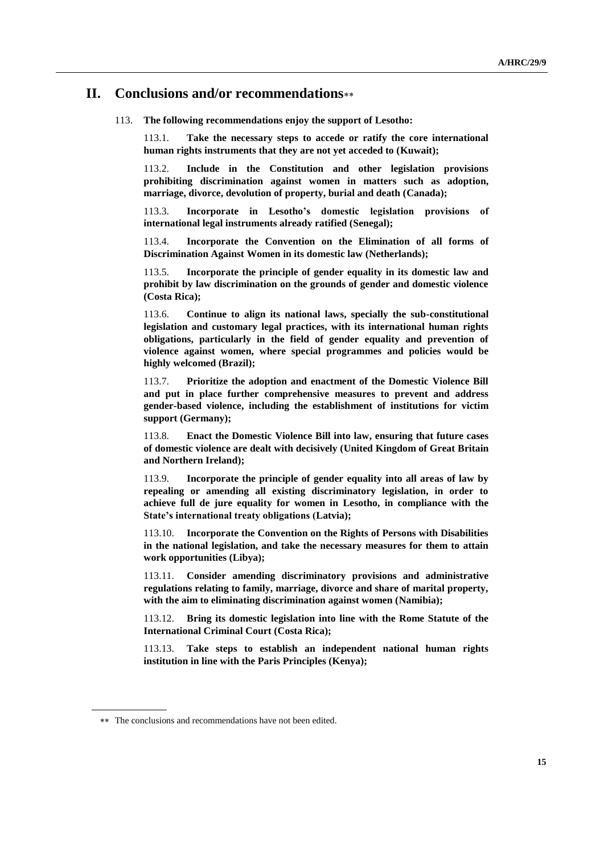## **II. Conclusions and/or recommendations**

#### 113. **The following recommendations enjoy the support of Lesotho:**

113.1. **Take the necessary steps to accede or ratify the core international human rights instruments that they are not yet acceded to (Kuwait);**

113.2. **Include in the Constitution and other legislation provisions prohibiting discrimination against women in matters such as adoption, marriage, divorce, devolution of property, burial and death (Canada);**

113.3. **Incorporate in Lesotho's domestic legislation provisions of international legal instruments already ratified (Senegal);**

113.4. **Incorporate the Convention on the Elimination of all forms of Discrimination Against Women in its domestic law (Netherlands);**

113.5. **Incorporate the principle of gender equality in its domestic law and prohibit by law discrimination on the grounds of gender and domestic violence (Costa Rica);**

113.6. **Continue to align its national laws, specially the sub-constitutional legislation and customary legal practices, with its international human rights obligations, particularly in the field of gender equality and prevention of violence against women, where special programmes and policies would be highly welcomed (Brazil);**

113.7. **Prioritize the adoption and enactment of the Domestic Violence Bill and put in place further comprehensive measures to prevent and address gender-based violence, including the establishment of institutions for victim support (Germany);**

113.8. **Enact the Domestic Violence Bill into law, ensuring that future cases of domestic violence are dealt with decisively (United Kingdom of Great Britain and Northern Ireland);**

113.9. **Incorporate the principle of gender equality into all areas of law by repealing or amending all existing discriminatory legislation, in order to achieve full de jure equality for women in Lesotho, in compliance with the State's international treaty obligations (Latvia);**

113.10. **Incorporate the Convention on the Rights of Persons with Disabilities in the national legislation, and take the necessary measures for them to attain work opportunities (Libya);**

113.11. **Consider amending discriminatory provisions and administrative regulations relating to family, marriage, divorce and share of marital property, with the aim to eliminating discrimination against women (Namibia);**

113.12. **Bring its domestic legislation into line with the Rome Statute of the International Criminal Court (Costa Rica);**

113.13. **Take steps to establish an independent national human rights institution in line with the Paris Principles (Kenya);**

The conclusions and recommendations have not been edited.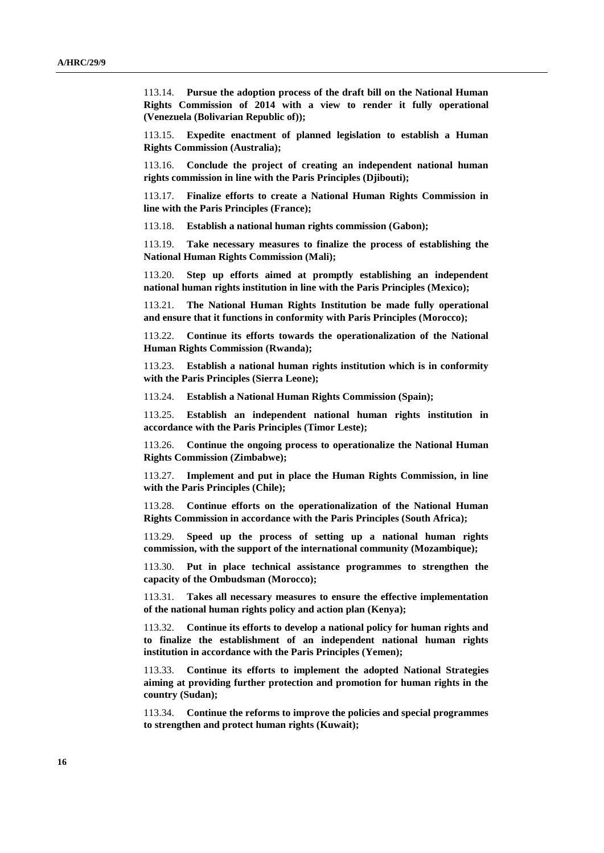113.14. **Pursue the adoption process of the draft bill on the National Human Rights Commission of 2014 with a view to render it fully operational (Venezuela (Bolivarian Republic of));**

113.15. **Expedite enactment of planned legislation to establish a Human Rights Commission (Australia);**

113.16. **Conclude the project of creating an independent national human rights commission in line with the Paris Principles (Djibouti);**

113.17. **Finalize efforts to create a National Human Rights Commission in line with the Paris Principles (France);**

113.18. **Establish a national human rights commission (Gabon);**

113.19. **Take necessary measures to finalize the process of establishing the National Human Rights Commission (Mali);**

113.20. **Step up efforts aimed at promptly establishing an independent national human rights institution in line with the Paris Principles (Mexico);**

113.21. **The National Human Rights Institution be made fully operational and ensure that it functions in conformity with Paris Principles (Morocco);**

113.22. **Continue its efforts towards the operationalization of the National Human Rights Commission (Rwanda);**

113.23. **Establish a national human rights institution which is in conformity with the Paris Principles (Sierra Leone);**

113.24. **Establish a National Human Rights Commission (Spain);**

113.25. **Establish an independent national human rights institution in accordance with the Paris Principles (Timor Leste);**

113.26. **Continue the ongoing process to operationalize the National Human Rights Commission (Zimbabwe);**

113.27. **Implement and put in place the Human Rights Commission, in line with the Paris Principles (Chile);**

113.28. **Continue efforts on the operationalization of the National Human Rights Commission in accordance with the Paris Principles (South Africa);**

113.29. **Speed up the process of setting up a national human rights commission, with the support of the international community (Mozambique);**

113.30. **Put in place technical assistance programmes to strengthen the capacity of the Ombudsman (Morocco);**

113.31. **Takes all necessary measures to ensure the effective implementation of the national human rights policy and action plan (Kenya);**

113.32. **Continue its efforts to develop a national policy for human rights and to finalize the establishment of an independent national human rights institution in accordance with the Paris Principles (Yemen);**

113.33. **Continue its efforts to implement the adopted National Strategies aiming at providing further protection and promotion for human rights in the country (Sudan);**

113.34. **Continue the reforms to improve the policies and special programmes to strengthen and protect human rights (Kuwait);**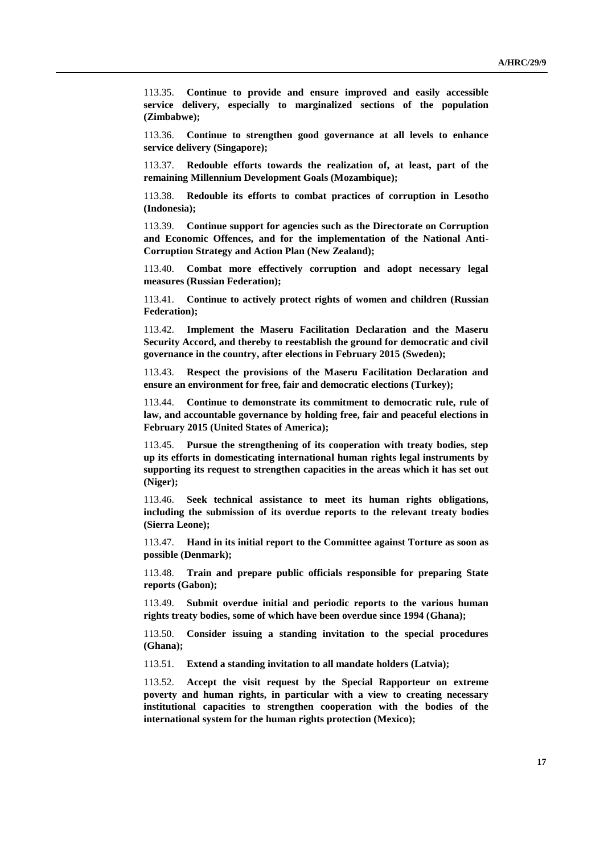113.35. **Continue to provide and ensure improved and easily accessible service delivery, especially to marginalized sections of the population (Zimbabwe);**

113.36. **Continue to strengthen good governance at all levels to enhance service delivery (Singapore);**

113.37. **Redouble efforts towards the realization of, at least, part of the remaining Millennium Development Goals (Mozambique);**

113.38. **Redouble its efforts to combat practices of corruption in Lesotho (Indonesia);**

113.39. **Continue support for agencies such as the Directorate on Corruption and Economic Offences, and for the implementation of the National Anti-Corruption Strategy and Action Plan (New Zealand);**

113.40. **Combat more effectively corruption and adopt necessary legal measures (Russian Federation);**

113.41. **Continue to actively protect rights of women and children (Russian Federation);**

113.42. **Implement the Maseru Facilitation Declaration and the Maseru Security Accord, and thereby to reestablish the ground for democratic and civil governance in the country, after elections in February 2015 (Sweden);**

113.43. **Respect the provisions of the Maseru Facilitation Declaration and ensure an environment for free, fair and democratic elections (Turkey);**

113.44. **Continue to demonstrate its commitment to democratic rule, rule of law, and accountable governance by holding free, fair and peaceful elections in February 2015 (United States of America);**

113.45. **Pursue the strengthening of its cooperation with treaty bodies, step up its efforts in domesticating international human rights legal instruments by supporting its request to strengthen capacities in the areas which it has set out (Niger);**

113.46. **Seek technical assistance to meet its human rights obligations, including the submission of its overdue reports to the relevant treaty bodies (Sierra Leone);**

113.47. **Hand in its initial report to the Committee against Torture as soon as possible (Denmark);**

113.48. **Train and prepare public officials responsible for preparing State reports (Gabon);**

113.49. **Submit overdue initial and periodic reports to the various human rights treaty bodies, some of which have been overdue since 1994 (Ghana);**

113.50. **Consider issuing a standing invitation to the special procedures (Ghana);**

113.51. **Extend a standing invitation to all mandate holders (Latvia);**

113.52. **Accept the visit request by the Special Rapporteur on [extreme](http://www.ohchr.org/EN/Issues/Poverty/Pages/SRExtremePovertyIndex.aspx)  [poverty and human rights,](http://www.ohchr.org/EN/Issues/Poverty/Pages/SRExtremePovertyIndex.aspx) in particular with a view to creating necessary institutional capacities to strengthen cooperation with the bodies of the international system for the human rights protection (Mexico);**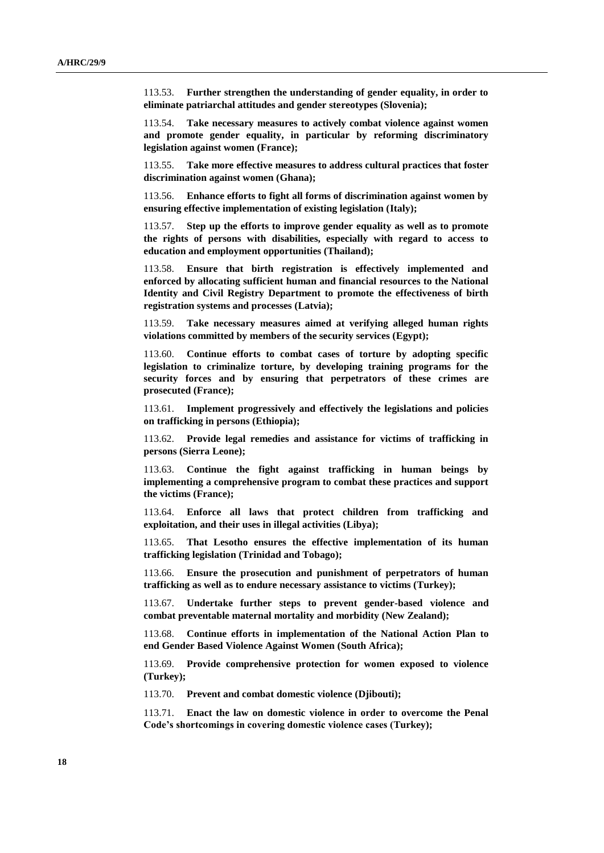113.53. **Further strengthen the understanding of gender equality, in order to eliminate patriarchal attitudes and gender stereotypes (Slovenia);**

113.54. **Take necessary measures to actively combat violence against women and promote gender equality, in particular by reforming discriminatory legislation against women (France);**

113.55. **Take more effective measures to address cultural practices that foster discrimination against women (Ghana);**

113.56. **Enhance efforts to fight all forms of discrimination against women by ensuring effective implementation of existing legislation (Italy);**

113.57. **Step up the efforts to improve gender equality as well as to promote the rights of persons with disabilities, especially with regard to access to education and employment opportunities (Thailand);**

113.58. **Ensure that birth registration is effectively implemented and enforced by allocating sufficient human and financial resources to the National Identity and Civil Registry Department to promote the effectiveness of birth registration systems and processes (Latvia);**

113.59. **Take necessary measures aimed at verifying alleged human rights violations committed by members of the security services (Egypt);**

113.60. **Continue efforts to combat cases of torture by adopting specific legislation to criminalize torture, by developing training programs for the security forces and by ensuring that perpetrators of these crimes are prosecuted (France);**

113.61. **Implement progressively and effectively the legislations and policies on trafficking in persons (Ethiopia);**

113.62. **Provide legal remedies and assistance for victims of trafficking in persons (Sierra Leone);**

113.63. **Continue the fight against trafficking in human beings by implementing a comprehensive program to combat these practices and support the victims (France);**

113.64. **Enforce all laws that protect children from trafficking and exploitation, and their uses in illegal activities (Libya);**

113.65. **That Lesotho ensures the effective implementation of its human trafficking legislation (Trinidad and Tobago);**

113.66. **Ensure the prosecution and punishment of perpetrators of human trafficking as well as to endure necessary assistance to victims (Turkey);**

113.67. **Undertake further steps to prevent gender-based violence and combat preventable maternal mortality and morbidity (New Zealand);**

113.68. **Continue efforts in implementation of the National Action Plan to end Gender Based Violence Against Women (South Africa);**

113.69. **Provide comprehensive protection for women exposed to violence (Turkey);**

113.70. **Prevent and combat domestic violence (Djibouti);**

113.71. **Enact the law on domestic violence in order to overcome the Penal Code's shortcomings in covering domestic violence cases (Turkey);**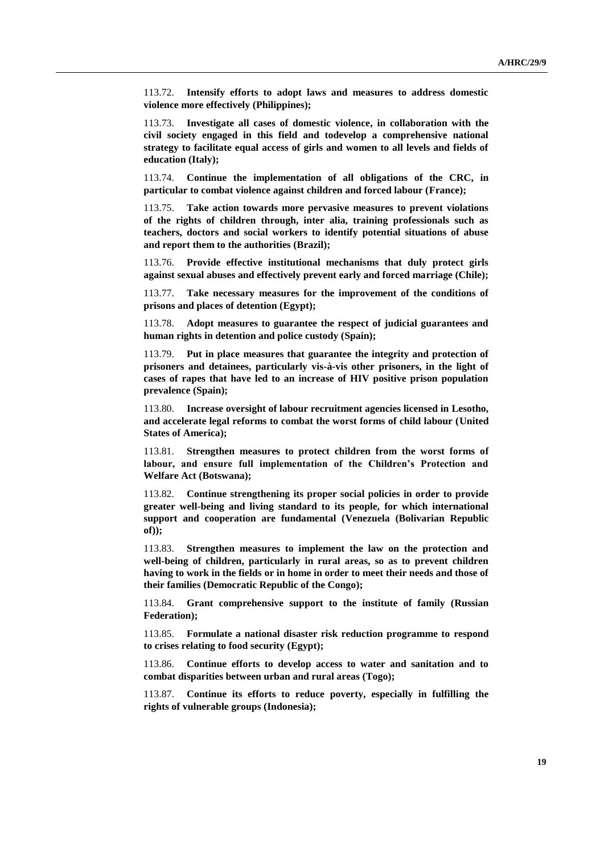113.72. **Intensify efforts to adopt laws and measures to address domestic violence more effectively (Philippines);**

113.73. **Investigate all cases of domestic violence, in collaboration with the civil society engaged in this field and todevelop a comprehensive national strategy to facilitate equal access of girls and women to all levels and fields of education (Italy);**

113.74. **Continue the implementation of all obligations of the CRC, in particular to combat violence against children and forced labour (France);**

113.75. **Take action towards more pervasive measures to prevent violations of the rights of children through, inter alia, training professionals such as teachers, doctors and social workers to identify potential situations of abuse and report them to the authorities (Brazil);**

113.76. **Provide effective institutional mechanisms that duly protect girls against sexual abuses and effectively prevent early and forced marriage (Chile);**

113.77. **Take necessary measures for the improvement of the conditions of prisons and places of detention (Egypt);**

113.78. **Adopt measures to guarantee the respect of judicial guarantees and human rights in detention and police custody (Spain);**

113.79. **Put in place measures that guarantee the integrity and protection of prisoners and detainees, particularly vis-à-vis other prisoners, in the light of cases of rapes that have led to an increase of HIV positive prison population prevalence (Spain);**

113.80. **Increase oversight of labour recruitment agencies licensed in Lesotho, and accelerate legal reforms to combat the worst forms of child labour (United States of America);**

113.81. **Strengthen measures to protect children from the worst forms of labour, and ensure full implementation of the Children's Protection and Welfare Act (Botswana);** 

113.82. **Continue strengthening its proper social policies in order to provide greater well-being and living standard to its people, for which international support and cooperation are fundamental (Venezuela (Bolivarian Republic of));**

113.83. **Strengthen measures to implement the law on the protection and well-being of children, particularly in rural areas, so as to prevent children having to work in the fields or in home in order to meet their needs and those of their families (Democratic Republic of the Congo);**

113.84. **Grant comprehensive support to the institute of family (Russian Federation);**

113.85. **Formulate a national disaster risk reduction programme to respond to crises relating to food security (Egypt);**

113.86. **Continue efforts to develop access to water and sanitation and to combat disparities between urban and rural areas (Togo);**

113.87. **Continue its efforts to reduce poverty, especially in fulfilling the rights of vulnerable groups (Indonesia);**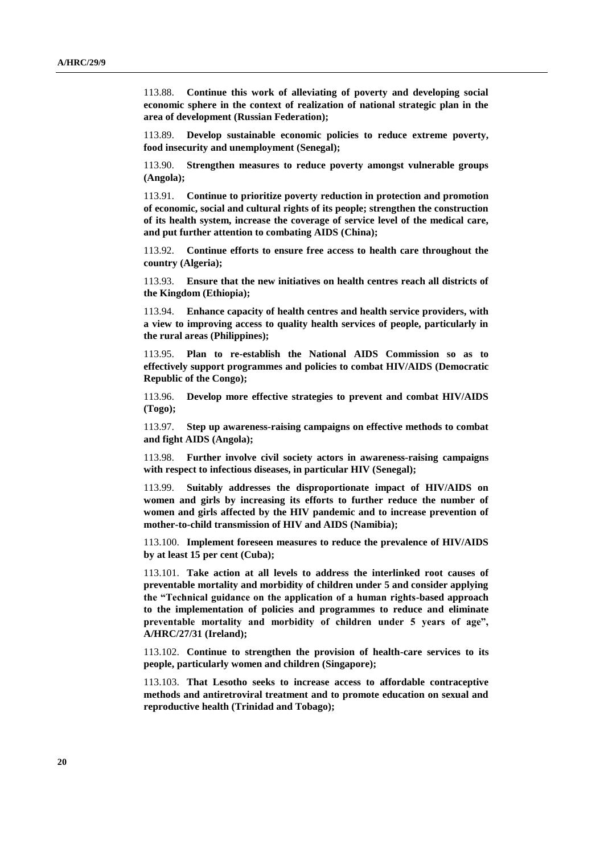113.88. **Continue this work of alleviating of poverty and developing social economic sphere in the context of realization of national strategic plan in the area of development (Russian Federation);**

113.89. **Develop sustainable economic policies to reduce extreme poverty, food insecurity and unemployment (Senegal);**

113.90. **Strengthen measures to reduce poverty amongst vulnerable groups (Angola);** 

113.91. **Continue to prioritize poverty reduction in protection and promotion of economic, social and cultural rights of its people; strengthen the construction of its health system, increase the coverage of service level of the medical care, and put further attention to combating AIDS (China);** 

113.92. **Continue efforts to ensure free access to health care throughout the country (Algeria);**

113.93. **Ensure that the new initiatives on health centres reach all districts of the Kingdom (Ethiopia);**

113.94. **Enhance capacity of health centres and health service providers, with a view to improving access to quality health services of people, particularly in the rural areas (Philippines);**

113.95. **Plan to re-establish the National AIDS Commission so as to effectively support programmes and policies to combat HIV/AIDS (Democratic Republic of the Congo);**

113.96. **Develop more effective strategies to prevent and combat HIV/AIDS (Togo);**

113.97. **Step up awareness-raising campaigns on effective methods to combat and fight AIDS (Angola);**

113.98. **Further involve civil society actors in awareness-raising campaigns with respect to infectious diseases, in particular HIV (Senegal);**

113.99. **Suitably addresses the disproportionate impact of HIV/AIDS on women and girls by increasing its efforts to further reduce the number of women and girls affected by the HIV pandemic and to increase prevention of mother-to-child transmission of HIV and AIDS (Namibia);**

113.100. **Implement foreseen measures to reduce the prevalence of HIV/AIDS by at least 15 per cent (Cuba);**

113.101. **Take action at all levels to address the interlinked root causes of preventable mortality and morbidity of children under 5 and consider applying the "Technical guidance on the application of a human rights-based approach to the implementation of policies and programmes to reduce and eliminate preventable mortality and morbidity of children under 5 years of age", A/HRC/27/31 (Ireland);**

113.102. **Continue to strengthen the provision of health-care services to its people, particularly women and children (Singapore);**

113.103. **That Lesotho seeks to increase access to affordable contraceptive methods and antiretroviral treatment and to promote education on sexual and reproductive health (Trinidad and Tobago);**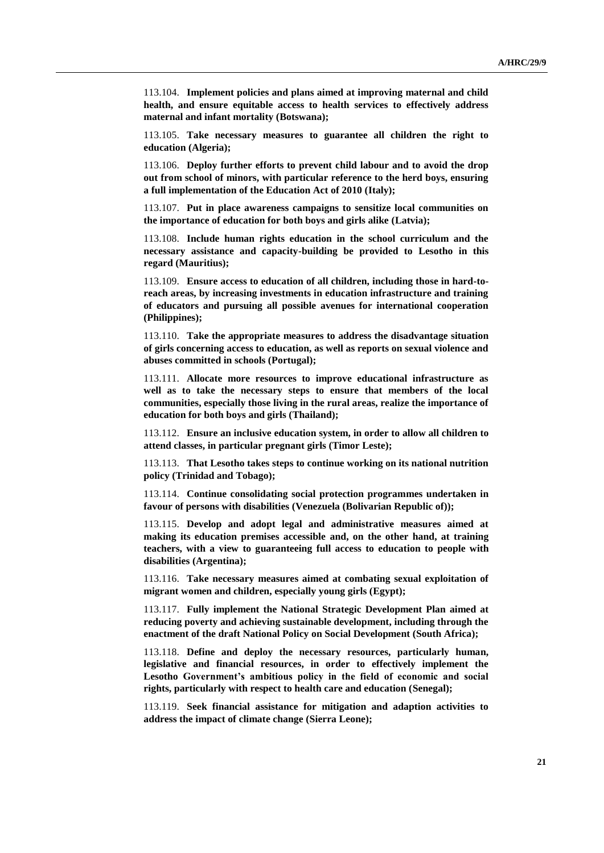113.104. **Implement policies and plans aimed at improving maternal and child health, and ensure equitable access to health services to effectively address maternal and infant mortality (Botswana);**

113.105. **Take necessary measures to guarantee all children the right to education (Algeria);**

113.106. **Deploy further efforts to prevent child labour and to avoid the drop out from school of minors, with particular reference to the herd boys, ensuring a full implementation of the Education Act of 2010 (Italy);**

113.107. **Put in place awareness campaigns to sensitize local communities on the importance of education for both boys and girls alike (Latvia);**

113.108. **Include human rights education in the school curriculum and the necessary assistance and capacity-building be provided to Lesotho in this regard (Mauritius);**

113.109. **Ensure access to education of all children, including those in hard-toreach areas, by increasing investments in education infrastructure and training of educators and pursuing all possible avenues for international cooperation (Philippines);**

113.110. **Take the appropriate measures to address the disadvantage situation of girls concerning access to education, as well as reports on sexual violence and abuses committed in schools (Portugal);**

113.111. **Allocate more resources to improve educational infrastructure as well as to take the necessary steps to ensure that members of the local communities, especially those living in the rural areas, realize the importance of education for both boys and girls (Thailand);**

113.112. **Ensure an inclusive education system, in order to allow all children to attend classes, in particular pregnant girls (Timor Leste);**

113.113. **That Lesotho takes steps to continue working on its national nutrition policy (Trinidad and Tobago);**

113.114. **Continue consolidating social protection programmes undertaken in favour of persons with disabilities (Venezuela (Bolivarian Republic of));**

113.115. **Develop and adopt legal and administrative measures aimed at making its education premises accessible and, on the other hand, at training teachers, with a view to guaranteeing full access to education to people with disabilities (Argentina);**

113.116. **Take necessary measures aimed at combating sexual exploitation of migrant women and children, especially young girls (Egypt);**

113.117. **Fully implement the National Strategic Development Plan aimed at reducing poverty and achieving sustainable development, including through the enactment of the draft National Policy on Social Development (South Africa);**

113.118. **Define and deploy the necessary resources, particularly human, legislative and financial resources, in order to effectively implement the Lesotho Government's ambitious policy in the field of economic and social rights, particularly with respect to health care and education (Senegal);**

113.119. **Seek financial assistance for mitigation and adaption activities to address the impact of climate change (Sierra Leone);**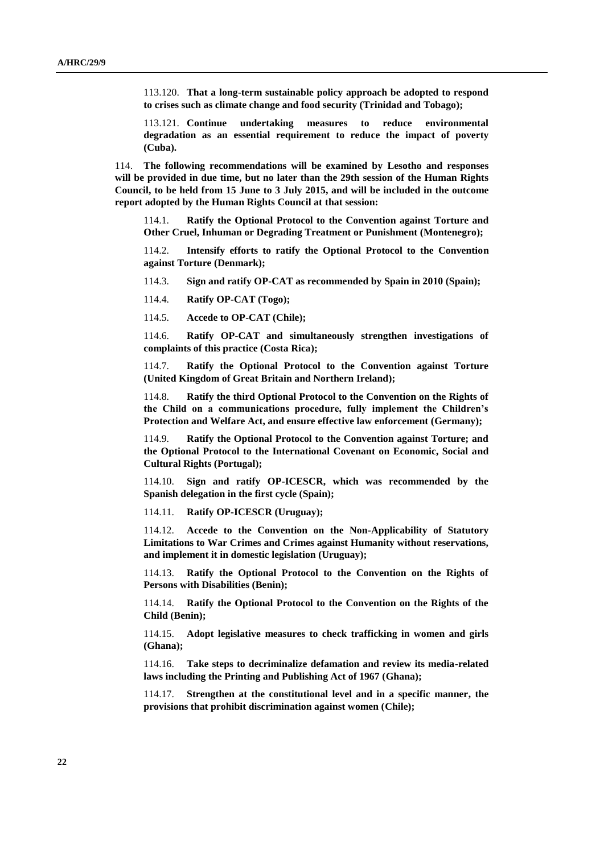113.120. **That a long-term sustainable policy approach be adopted to respond to crises such as climate change and food security (Trinidad and Tobago);**

113.121. **Continue undertaking measures to reduce environmental degradation as an essential requirement to reduce the impact of poverty (Cuba).**

114. **The following recommendations will be examined by Lesotho and responses will be provided in due time, but no later than the 29th session of the Human Rights Council, to be held from 15 June to 3 July 2015, and will be included in the outcome report adopted by the Human Rights Council at that session:**

114.1. **Ratify the Optional Protocol to the Convention against Torture and Other Cruel, Inhuman or Degrading Treatment or Punishment (Montenegro);**

114.2. **Intensify efforts to ratify the Optional Protocol to the Convention against Torture (Denmark);**

114.3. **Sign and ratify OP-CAT as recommended by Spain in 2010 (Spain);**

114.4. **Ratify OP-CAT (Togo);**

114.5. **Accede to OP-CAT (Chile);**

114.6. **Ratify OP-CAT and simultaneously strengthen investigations of complaints of this practice (Costa Rica);**

114.7. **Ratify the Optional Protocol to the Convention against Torture (United Kingdom of Great Britain and Northern Ireland);**

114.8. **Ratify the third Optional Protocol to the Convention on the Rights of the Child on a communications procedure, fully implement the Children's Protection and Welfare Act, and ensure effective law enforcement (Germany);**

114.9. **Ratify the Optional Protocol to the Convention against Torture; and the Optional Protocol to the International Covenant on Economic, Social and Cultural Rights (Portugal);**

114.10. **Sign and ratify OP-ICESCR, which was recommended by the Spanish delegation in the first cycle (Spain);**

114.11. **Ratify OP-ICESCR (Uruguay);**

114.12. **Accede to the Convention on the Non-Applicability of Statutory Limitations to War Crimes and Crimes against Humanity without reservations, and implement it in domestic legislation (Uruguay);**

114.13. **Ratify the Optional Protocol to the Convention on the Rights of Persons with Disabilities (Benin);** 

114.14. **Ratify the Optional Protocol to the Convention on the Rights of the Child (Benin);** 

114.15. **Adopt legislative measures to check trafficking in women and girls (Ghana);** 

114.16. **Take steps to decriminalize defamation and review its media-related laws including the Printing and Publishing Act of 1967 (Ghana);** 

114.17. **Strengthen at the constitutional level and in a specific manner, the provisions that prohibit discrimination against women (Chile);**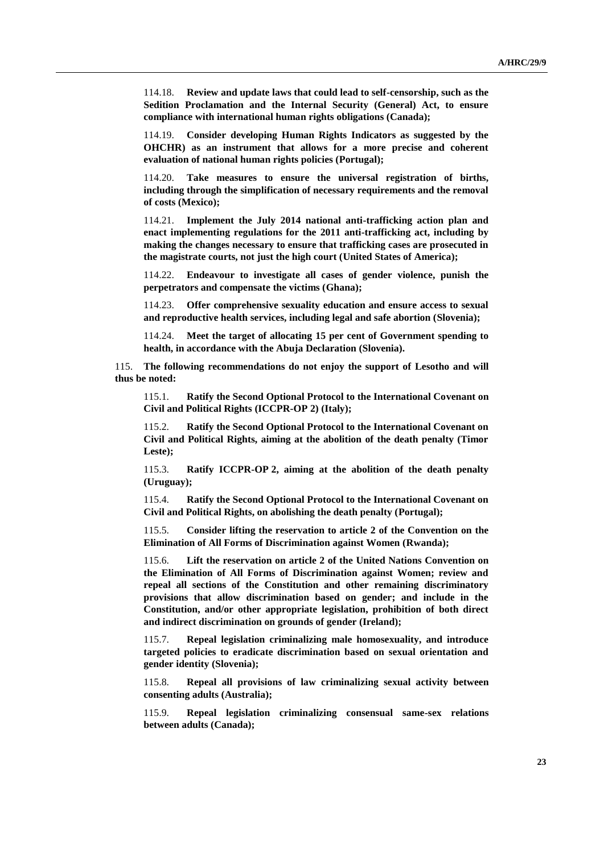114.18. **Review and update laws that could lead to self-censorship, such as the Sedition Proclamation and the Internal Security (General) Act, to ensure compliance with international human rights obligations (Canada);** 

114.19. **Consider developing Human Rights Indicators as suggested by the OHCHR) as an instrument that allows for a more precise and coherent evaluation of national human rights policies (Portugal);** 

114.20. **Take measures to ensure the universal registration of births, including through the simplification of necessary requirements and the removal of costs (Mexico);** 

114.21. **Implement the July 2014 national anti-trafficking action plan and enact implementing regulations for the 2011 anti-trafficking act, including by making the changes necessary to ensure that trafficking cases are prosecuted in the magistrate courts, not just the high court (United States of America);** 

114.22. **Endeavour to investigate all cases of gender violence, punish the perpetrators and compensate the victims (Ghana);**

114.23. **Offer comprehensive sexuality education and ensure access to sexual and reproductive health services, including legal and safe abortion (Slovenia);**

114.24. **Meet the target of allocating 15 per cent of Government spending to health, in accordance with the Abuja Declaration (Slovenia).**

115. **The following recommendations do not enjoy the support of Lesotho and will thus be noted:**

115.1. **Ratify the Second Optional Protocol to the International Covenant on Civil and Political Rights (ICCPR-OP 2) (Italy);** 

115.2. **Ratify the Second Optional Protocol to the International Covenant on Civil and Political Rights, aiming at the abolition of the death penalty (Timor Leste);** 

115.3. **Ratify ICCPR-OP 2, aiming at the abolition of the death penalty (Uruguay);** 

115.4. **Ratify the Second Optional Protocol to the International Covenant on Civil and Political Rights, on abolishing the death penalty (Portugal);**

115.5. **Consider lifting the reservation to article 2 of the Convention on the Elimination of All Forms of Discrimination against Women (Rwanda);** 

115.6. **Lift the reservation on article 2 of the United Nations Convention on the Elimination of All Forms of Discrimination against Women; review and repeal all sections of the Constitution and other remaining discriminatory provisions that allow discrimination based on gender; and include in the Constitution, and/or other appropriate legislation, prohibition of both direct and indirect discrimination on grounds of gender (Ireland);** 

115.7. **Repeal legislation criminalizing male homosexuality, and introduce targeted policies to eradicate discrimination based on sexual orientation and gender identity (Slovenia);** 

115.8. **Repeal all provisions of law criminalizing sexual activity between consenting adults (Australia);** 

115.9. **Repeal legislation criminalizing consensual same-sex relations between adults (Canada);**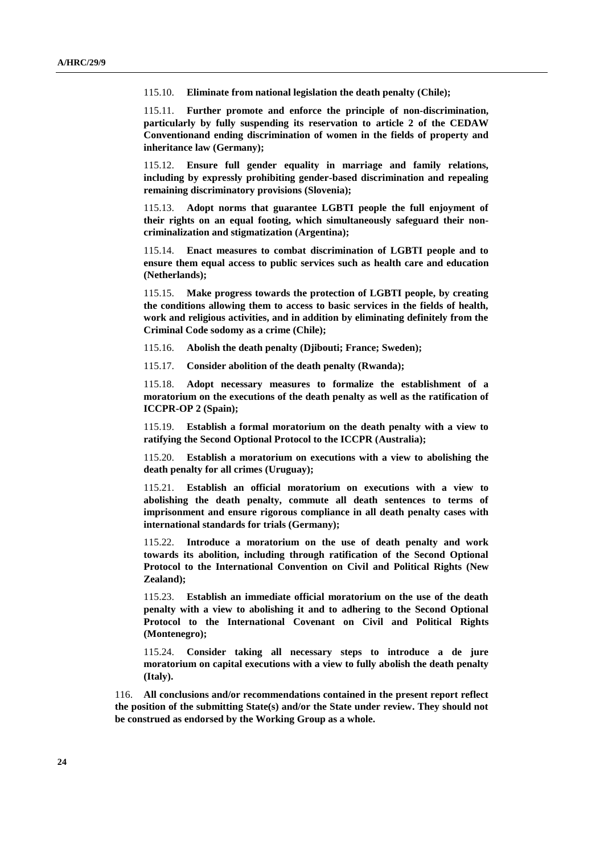115.10. **Eliminate from national legislation the death penalty (Chile);** 

115.11. **Further promote and enforce the principle of non-discrimination, particularly by fully suspending its reservation to article 2 of the CEDAW Conventionand ending discrimination of women in the fields of property and inheritance law (Germany);**

115.12. **Ensure full gender equality in marriage and family relations, including by expressly prohibiting gender-based discrimination and repealing remaining discriminatory provisions (Slovenia);**

115.13. **Adopt norms that guarantee LGBTI people the full enjoyment of their rights on an equal footing, which simultaneously safeguard their noncriminalization and stigmatization (Argentina);**

115.14. **Enact measures to combat discrimination of LGBTI people and to ensure them equal access to public services such as health care and education (Netherlands);**

115.15. **Make progress towards the protection of LGBTI people, by creating the conditions allowing them to access to basic services in the fields of health, work and religious activities, and in addition by eliminating definitely from the Criminal Code sodomy as a crime (Chile);** 

115.16. **Abolish the death penalty (Djibouti; France; Sweden);**

115.17. **Consider abolition of the death penalty (Rwanda);** 

115.18. **Adopt necessary measures to formalize the establishment of a moratorium on the executions of the death penalty as well as the ratification of ICCPR-OP 2 (Spain);** 

115.19. **Establish a formal moratorium on the death penalty with a view to ratifying the Second Optional Protocol to the ICCPR (Australia);**

115.20. **Establish a moratorium on executions with a view to abolishing the death penalty for all crimes (Uruguay);**

115.21. **Establish an official moratorium on executions with a view to abolishing the death penalty, commute all death sentences to terms of imprisonment and ensure rigorous compliance in all death penalty cases with international standards for trials (Germany);**

115.22. **Introduce a moratorium on the use of death penalty and work towards its abolition, including through ratification of the Second Optional Protocol to the International Convention on Civil and Political Rights (New Zealand);**

115.23. **Establish an immediate official moratorium on the use of the death penalty with a view to abolishing it and to adhering to the Second Optional Protocol to the International Covenant on Civil and Political Rights (Montenegro);**

115.24. **Consider taking all necessary steps to introduce a de jure moratorium on capital executions with a view to fully abolish the death penalty (Italy).**

116. **All conclusions and/or recommendations contained in the present report reflect the position of the submitting State(s) and/or the State under review. They should not be construed as endorsed by the Working Group as a whole.**